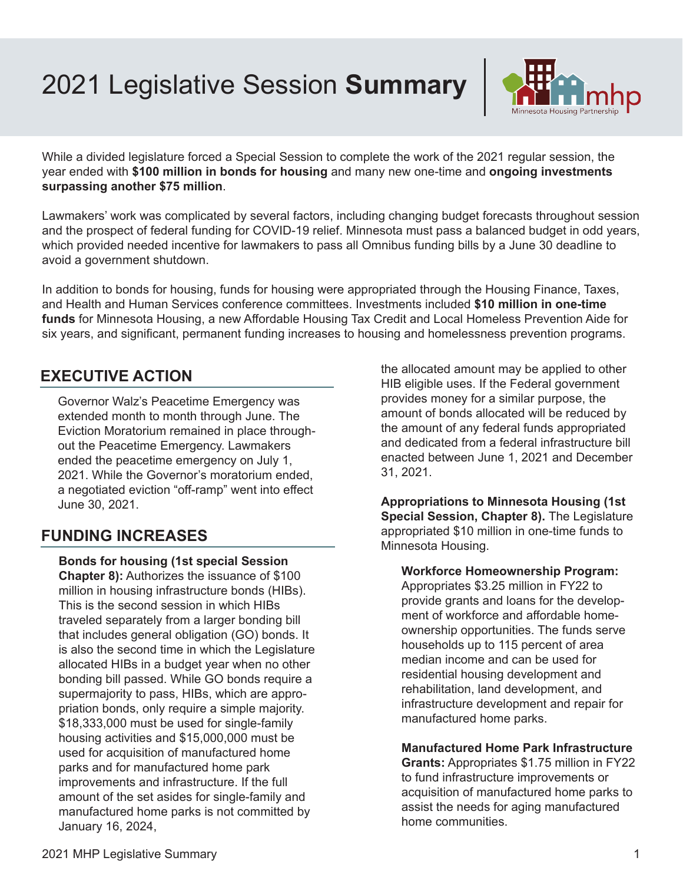2021 Legislative Session **Summary**



While a divided legislature forced a Special Session to complete the work of the 2021 regular session, the year ended with **\$100 million in bonds for housing** and many new one-time and **ongoing investments surpassing another \$75 million**.

Lawmakers' work was complicated by several factors, including changing budget forecasts throughout session and the prospect of federal funding for COVID-19 relief. Minnesota must pass a balanced budget in odd years, which provided needed incentive for lawmakers to pass all Omnibus funding bills by a June 30 deadline to avoid a government shutdown.

In addition to bonds for housing, funds for housing were appropriated through the Housing Finance, Taxes, and Health and Human Services conference committees. Investments included **\$10 million in one-time funds** for Minnesota Housing, a new Affordable Housing Tax Credit and Local Homeless Prevention Aide for six years, and significant, permanent funding increases to housing and homelessness prevention programs.

# **EXECUTIVE ACTION**

Governor Walz's Peacetime Emergency was extended month to month through June. The Eviction Moratorium remained in place throughout the Peacetime Emergency. Lawmakers ended the peacetime emergency on July 1, 2021. While the Governor's moratorium ended, a negotiated eviction "off-ramp" went into effect June 30, 2021.

# **FUNDING INCREASES**

**Bonds for housing (1st special Session Chapter 8):** Authorizes the issuance of \$100 million in housing infrastructure bonds (HIBs). This is the second session in which HIBs traveled separately from a larger bonding bill that includes general obligation (GO) bonds. It is also the second time in which the Legislature allocated HIBs in a budget year when no other bonding bill passed. While GO bonds require a supermajority to pass, HIBs, which are appropriation bonds, only require a simple majority. \$18,333,000 must be used for single-family housing activities and \$15,000,000 must be used for acquisition of manufactured home parks and for manufactured home park improvements and infrastructure. If the full amount of the set asides for single-family and manufactured home parks is not committed by January 16, 2024,

the allocated amount may be applied to other HIB eligible uses. If the Federal government provides money for a similar purpose, the amount of bonds allocated will be reduced by the amount of any federal funds appropriated and dedicated from a federal infrastructure bill enacted between June 1, 2021 and December 31, 2021.

**Appropriations to Minnesota Housing (1st Special Session, Chapter 8).** The Legislature appropriated \$10 million in one-time funds to Minnesota Housing.

**Workforce Homeownership Program:**  Appropriates \$3.25 million in FY22 to provide grants and loans for the development of workforce and affordable homeownership opportunities. The funds serve households up to 115 percent of area median income and can be used for residential housing development and rehabilitation, land development, and infrastructure development and repair for manufactured home parks.

### **Manufactured Home Park Infrastructure**

**Grants:** Appropriates \$1.75 million in FY22 to fund infrastructure improvements or acquisition of manufactured home parks to assist the needs for aging manufactured home communities.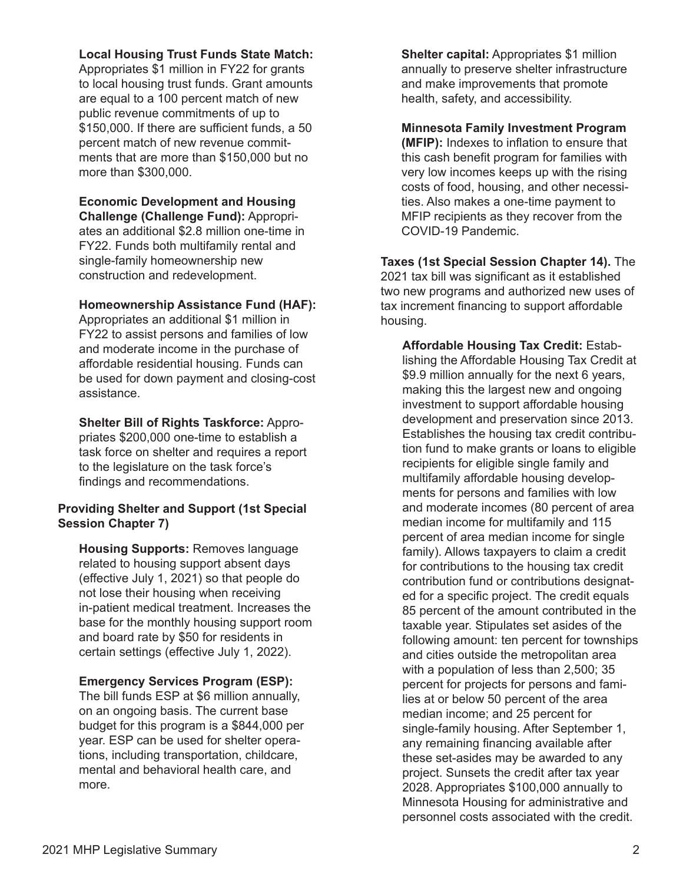### **Local Housing Trust Funds State Match:**

Appropriates \$1 million in FY22 for grants to local housing trust funds. Grant amounts are equal to a 100 percent match of new public revenue commitments of up to \$150,000. If there are sufficient funds, a 50 percent match of new revenue commitments that are more than \$150,000 but no more than \$300,000.

#### **Economic Development and Housing Challenge (Challenge Fund):** Appropri-

ates an additional \$2.8 million one-time in FY22. Funds both multifamily rental and single-family homeownership new construction and redevelopment.

#### **Homeownership Assistance Fund (HAF):**

Appropriates an additional \$1 million in FY22 to assist persons and families of low and moderate income in the purchase of affordable residential housing. Funds can be used for down payment and closing-cost assistance.

**Shelter Bill of Rights Taskforce:** Appropriates \$200,000 one-time to establish a task force on shelter and requires a report to the legislature on the task force's findings and recommendations.

## **Providing Shelter and Support (1st Special Session Chapter 7)**

**Housing Supports:** Removes language related to housing support absent days (effective July 1, 2021) so that people do not lose their housing when receiving in-patient medical treatment. Increases the base for the monthly housing support room and board rate by \$50 for residents in certain settings (effective July 1, 2022).

### **Emergency Services Program (ESP):**

The bill funds ESP at \$6 million annually, on an ongoing basis. The current base budget for this program is a \$844,000 per year. ESP can be used for shelter operations, including transportation, childcare, mental and behavioral health care, and more.

**Shelter capital:** Appropriates \$1 million annually to preserve shelter infrastructure and make improvements that promote health, safety, and accessibility.

### **Minnesota Family Investment Program (MFIP):** Indexes to inflation to ensure that this cash benefit program for families with very low incomes keeps up with the rising costs of food, housing, and other necessities. Also makes a one-time payment to MFIP recipients as they recover from the COVID-19 Pandemic.

**Taxes (1st Special Session Chapter 14).** The 2021 tax bill was significant as it established two new programs and authorized new uses of tax increment financing to support affordable housing.

**Affordable Housing Tax Credit:** Establishing the Affordable Housing Tax Credit at \$9.9 million annually for the next 6 years, making this the largest new and ongoing investment to support affordable housing development and preservation since 2013. Establishes the housing tax credit contribution fund to make grants or loans to eligible recipients for eligible single family and multifamily affordable housing developments for persons and families with low and moderate incomes (80 percent of area median income for multifamily and 115 percent of area median income for single family). Allows taxpayers to claim a credit for contributions to the housing tax credit contribution fund or contributions designated for a specific project. The credit equals 85 percent of the amount contributed in the taxable year. Stipulates set asides of the following amount: ten percent for townships and cities outside the metropolitan area with a population of less than 2,500; 35 percent for projects for persons and families at or below 50 percent of the area median income; and 25 percent for single-family housing. After September 1, any remaining financing available after these set-asides may be awarded to any project. Sunsets the credit after tax year 2028. Appropriates \$100,000 annually to Minnesota Housing for administrative and personnel costs associated with the credit.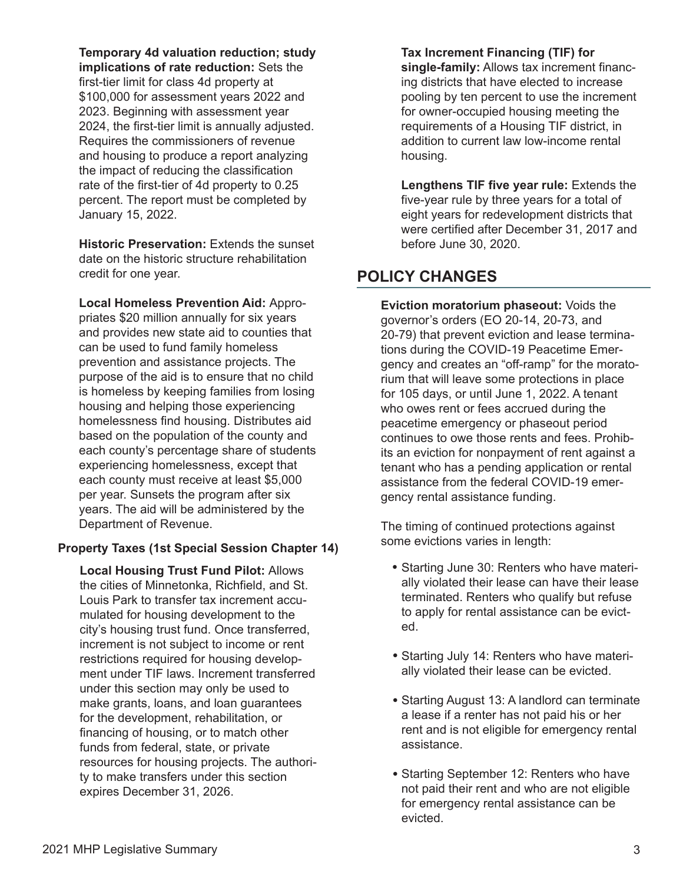**Temporary 4d valuation reduction; study** 

**implications of rate reduction:** Sets the first-tier limit for class 4d property at \$100,000 for assessment years 2022 and 2023. Beginning with assessment year 2024, the first-tier limit is annually adjusted. Requires the commissioners of revenue and housing to produce a report analyzing the impact of reducing the classification rate of the first-tier of 4d property to 0.25 percent. The report must be completed by January 15, 2022.

**Historic Preservation:** Extends the sunset date on the historic structure rehabilitation credit for one year.

**Local Homeless Prevention Aid:** Appropriates \$20 million annually for six years and provides new state aid to counties that can be used to fund family homeless prevention and assistance projects. The purpose of the aid is to ensure that no child is homeless by keeping families from losing housing and helping those experiencing homelessness find housing. Distributes aid based on the population of the county and each county's percentage share of students experiencing homelessness, except that each county must receive at least \$5,000 per year. Sunsets the program after six years. The aid will be administered by the Department of Revenue.

# **Property Taxes (1st Special Session Chapter 14)**

**Local Housing Trust Fund Pilot:** Allows the cities of Minnetonka, Richfield, and St. Louis Park to transfer tax increment accumulated for housing development to the city's housing trust fund. Once transferred, increment is not subject to income or rent restrictions required for housing development under TIF laws. Increment transferred under this section may only be used to make grants, loans, and loan guarantees for the development, rehabilitation, or financing of housing, or to match other funds from federal, state, or private resources for housing projects. The authority to make transfers under this section expires December 31, 2026.

#### **Tax Increment Financing (TIF) for**

**single-family:** Allows tax increment financing districts that have elected to increase pooling by ten percent to use the increment for owner-occupied housing meeting the requirements of a Housing TIF district, in addition to current law low-income rental housing.

**Lengthens TIF five year rule:** Extends the five-year rule by three years for a total of eight years for redevelopment districts that were certified after December 31, 2017 and before June 30, 2020.

# **POLICY CHANGES**

**Eviction moratorium phaseout:** Voids the governor's orders (EO 20-14, 20-73, and 20-79) that prevent eviction and lease terminations during the COVID-19 Peacetime Emergency and creates an "off-ramp" for the moratorium that will leave some protections in place for 105 days, or until June 1, 2022. A tenant who owes rent or fees accrued during the peacetime emergency or phaseout period continues to owe those rents and fees. Prohibits an eviction for nonpayment of rent against a tenant who has a pending application or rental assistance from the federal COVID-19 emergency rental assistance funding.

The timing of continued protections against some evictions varies in length:

- Starting June 30: Renters who have materi-**•** ally violated their lease can have their lease terminated. Renters who qualify but refuse to apply for rental assistance can be evicted.
- Starting July 14: Renters who have materi-**•** ally violated their lease can be evicted.
- Starting August 13: A landlord can terminate **•** a lease if a renter has not paid his or her rent and is not eligible for emergency rental assistance.
- **•** Starting September 12: Renters who have not paid their rent and who are not eligible for emergency rental assistance can be evicted.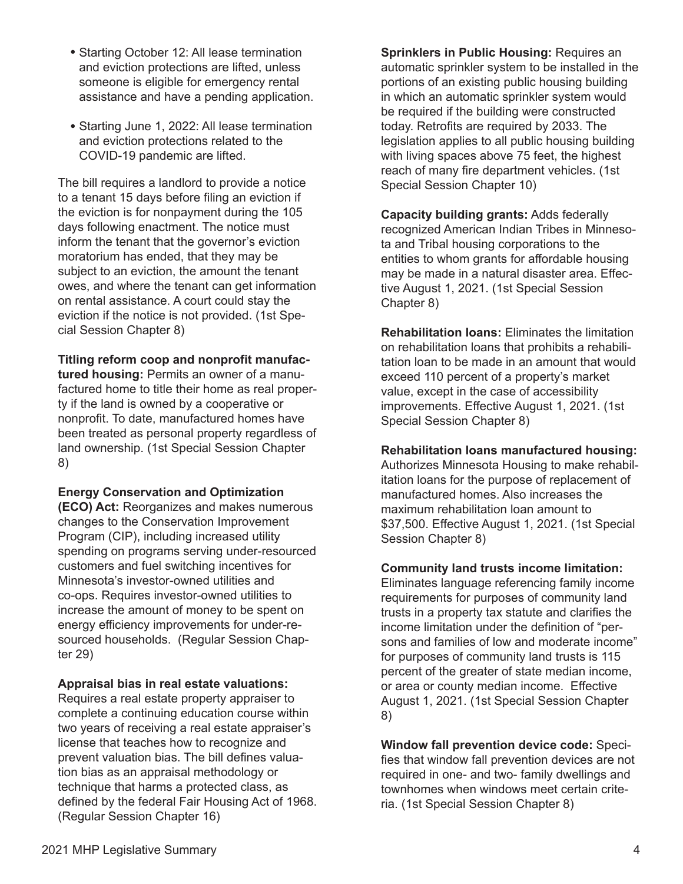- Starting October 12: All lease termination **•** and eviction protections are lifted, unless someone is eligible for emergency rental assistance and have a pending application.
- Starting June 1, 2022: All lease termination **•** and eviction protections related to the COVID-19 pandemic are lifted.

The bill requires a landlord to provide a notice to a tenant 15 days before filing an eviction if the eviction is for nonpayment during the 105 days following enactment. The notice must inform the tenant that the governor's eviction moratorium has ended, that they may be subject to an eviction, the amount the tenant owes, and where the tenant can get information on rental assistance. A court could stay the eviction if the notice is not provided. (1st Special Session Chapter 8)

### **Titling reform coop and nonprofit manufac-**

**tured housing:** Permits an owner of a manufactured home to title their home as real property if the land is owned by a cooperative or nonprofit. To date, manufactured homes have been treated as personal property regardless of land ownership. (1st Special Session Chapter 8)

#### **Energy Conservation and Optimization**

**(ECO) Act:** Reorganizes and makes numerous changes to the Conservation Improvement Program (CIP), including increased utility spending on programs serving under-resourced customers and fuel switching incentives for Minnesota's investor-owned utilities and co-ops. Requires investor-owned utilities to increase the amount of money to be spent on energy efficiency improvements for under-resourced households. (Regular Session Chapter 29)

#### **Appraisal bias in real estate valuations:**

Requires a real estate property appraiser to complete a continuing education course within two years of receiving a real estate appraiser's license that teaches how to recognize and prevent valuation bias. The bill defines valuation bias as an appraisal methodology or technique that harms a protected class, as defined by the federal Fair Housing Act of 1968. (Regular Session Chapter 16)

**Sprinklers in Public Housing:** Requires an automatic sprinkler system to be installed in the portions of an existing public housing building in which an automatic sprinkler system would be required if the building were constructed today. Retrofits are required by 2033. The legislation applies to all public housing building with living spaces above 75 feet, the highest reach of many fire department vehicles. (1st Special Session Chapter 10)

**Capacity building grants:** Adds federally recognized American Indian Tribes in Minnesota and Tribal housing corporations to the entities to whom grants for affordable housing may be made in a natural disaster area. Effective August 1, 2021. (1st Special Session Chapter 8)

**Rehabilitation loans:** Eliminates the limitation on rehabilitation loans that prohibits a rehabilitation loan to be made in an amount that would exceed 110 percent of a property's market value, except in the case of accessibility improvements. Effective August 1, 2021. (1st Special Session Chapter 8)

#### **Rehabilitation loans manufactured housing:**

Authorizes Minnesota Housing to make rehabilitation loans for the purpose of replacement of manufactured homes. Also increases the maximum rehabilitation loan amount to \$37,500. Effective August 1, 2021. (1st Special Session Chapter 8)

**Community land trusts income limitation:**  Eliminates language referencing family income requirements for purposes of community land trusts in a property tax statute and clarifies the income limitation under the definition of "persons and families of low and moderate income" for purposes of community land trusts is 115 percent of the greater of state median income, or area or county median income. Effective August 1, 2021. (1st Special Session Chapter 8)

**Window fall prevention device code:** Specifies that window fall prevention devices are not required in one- and two- family dwellings and townhomes when windows meet certain criteria. (1st Special Session Chapter 8)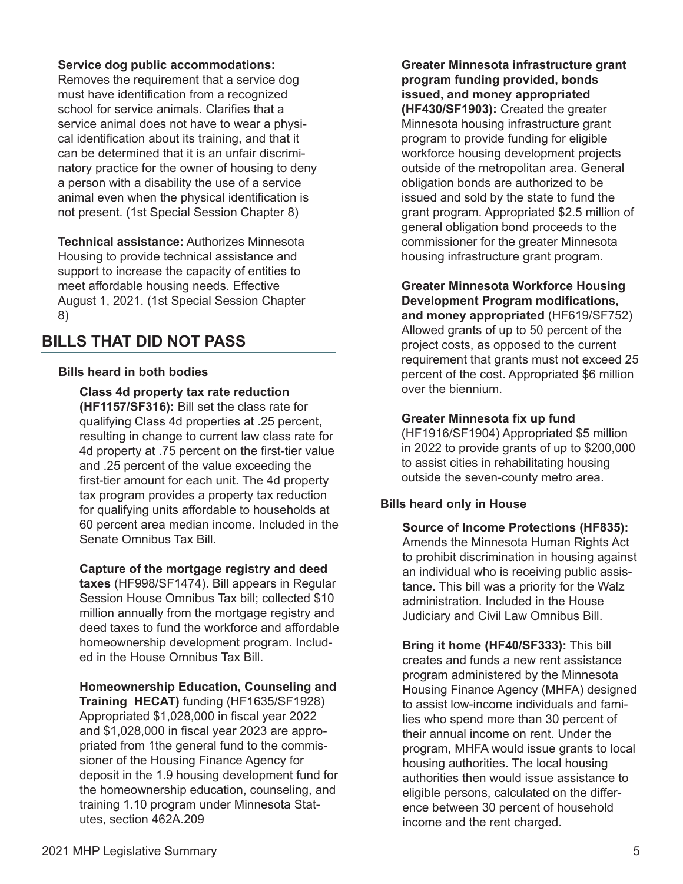# **Service dog public accommodations:** Removes the requirement that a service dog

must have identification from a recognized school for service animals. Clarifies that a service animal does not have to wear a physical identification about its training, and that it can be determined that it is an unfair discriminatory practice for the owner of housing to deny a person with a disability the use of a service animal even when the physical identification is not present. (1st Special Session Chapter 8)

**Technical assistance:** Authorizes Minnesota Housing to provide technical assistance and support to increase the capacity of entities to meet affordable housing needs. Effective August 1, 2021. (1st Special Session Chapter 8)

# **BILLS THAT DID NOT PASS**

# **Bills heard in both bodies**

**Class 4d property tax rate reduction (HF1157/SF316):** Bill set the class rate for qualifying Class 4d properties at .25 percent, resulting in change to current law class rate for 4d property at .75 percent on the first-tier value and .25 percent of the value exceeding the first-tier amount for each unit. The 4d property tax program provides a property tax reduction for qualifying units affordable to households at 60 percent area median income. Included in the Senate Omnibus Tax Bill.

# **Capture of the mortgage registry and deed**

**taxes** (HF998/SF1474). Bill appears in Regular Session House Omnibus Tax bill; collected \$10 million annually from the mortgage registry and deed taxes to fund the workforce and affordable homeownership development program. Included in the House Omnibus Tax Bill.

**Homeownership Education, Counseling and** 

**Training HECAT)** funding (HF1635/SF1928) Appropriated \$1,028,000 in fiscal year 2022 and \$1,028,000 in fiscal year 2023 are appropriated from 1the general fund to the commissioner of the Housing Finance Agency for deposit in the 1.9 housing development fund for the homeownership education, counseling, and training 1.10 program under Minnesota Statutes, section 462A.209

**Greater Minnesota infrastructure grant program funding provided, bonds issued, and money appropriated (HF430/SF1903):** Created the greater Minnesota housing infrastructure grant program to provide funding for eligible workforce housing development projects outside of the metropolitan area. General obligation bonds are authorized to be issued and sold by the state to fund the grant program. Appropriated \$2.5 million of general obligation bond proceeds to the commissioner for the greater Minnesota housing infrastructure grant program.

**Greater Minnesota Workforce Housing Development Program modifications, and money appropriated** (HF619/SF752) Allowed grants of up to 50 percent of the project costs, as opposed to the current requirement that grants must not exceed 25 percent of the cost. Appropriated \$6 million over the biennium.

# **Greater Minnesota fix up fund**

(HF1916/SF1904) Appropriated \$5 million in 2022 to provide grants of up to \$200,000 to assist cities in rehabilitating housing outside the seven-county metro area.

# **Bills heard only in House**

**Source of Income Protections (HF835):**  Amends the Minnesota Human Rights Act to prohibit discrimination in housing against an individual who is receiving public assistance. This bill was a priority for the Walz administration. Included in the House Judiciary and Civil Law Omnibus Bill.

**Bring it home (HF40/SF333):** This bill creates and funds a new rent assistance program administered by the Minnesota Housing Finance Agency (MHFA) designed to assist low-income individuals and families who spend more than 30 percent of their annual income on rent. Under the program, MHFA would issue grants to local housing authorities. The local housing authorities then would issue assistance to eligible persons, calculated on the difference between 30 percent of household income and the rent charged.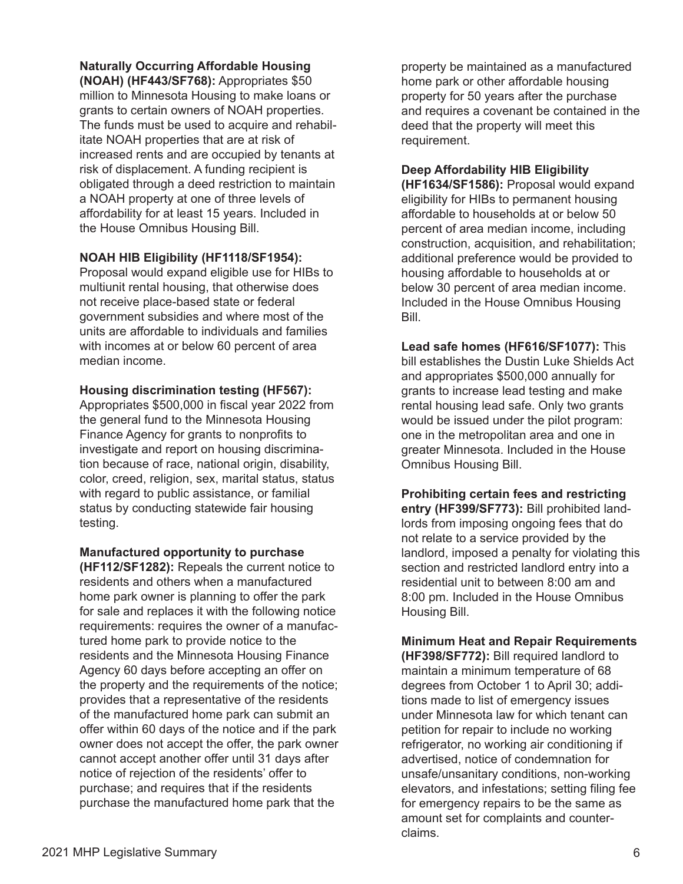# **Naturally Occurring Affordable Housing**

**(NOAH) (HF443/SF768):** Appropriates \$50 million to Minnesota Housing to make loans or grants to certain owners of NOAH properties. The funds must be used to acquire and rehabilitate NOAH properties that are at risk of increased rents and are occupied by tenants at risk of displacement. A funding recipient is obligated through a deed restriction to maintain a NOAH property at one of three levels of affordability for at least 15 years. Included in the House Omnibus Housing Bill.

# **NOAH HIB Eligibility (HF1118/SF1954):**

Proposal would expand eligible use for HIBs to multiunit rental housing, that otherwise does not receive place-based state or federal government subsidies and where most of the units are affordable to individuals and families with incomes at or below 60 percent of area median income.

#### **Housing discrimination testing (HF567):**

Appropriates \$500,000 in fiscal year 2022 from the general fund to the Minnesota Housing Finance Agency for grants to nonprofits to investigate and report on housing discrimination because of race, national origin, disability, color, creed, religion, sex, marital status, status with regard to public assistance, or familial status by conducting statewide fair housing testing.

**Manufactured opportunity to purchase** 

**(HF112/SF1282):** Repeals the current notice to residents and others when a manufactured home park owner is planning to offer the park for sale and replaces it with the following notice requirements: requires the owner of a manufactured home park to provide notice to the residents and the Minnesota Housing Finance Agency 60 days before accepting an offer on the property and the requirements of the notice; provides that a representative of the residents of the manufactured home park can submit an offer within 60 days of the notice and if the park owner does not accept the offer, the park owner cannot accept another offer until 31 days after notice of rejection of the residents' offer to purchase; and requires that if the residents purchase the manufactured home park that the

property be maintained as a manufactured home park or other affordable housing property for 50 years after the purchase and requires a covenant be contained in the deed that the property will meet this requirement.

## **Deep Affordability HIB Eligibility**

**(HF1634/SF1586):** Proposal would expand eligibility for HIBs to permanent housing affordable to households at or below 50 percent of area median income, including construction, acquisition, and rehabilitation; additional preference would be provided to housing affordable to households at or below 30 percent of area median income. Included in the House Omnibus Housing Bill.

**Lead safe homes (HF616/SF1077):** This bill establishes the Dustin Luke Shields Act and appropriates \$500,000 annually for grants to increase lead testing and make rental housing lead safe. Only two grants would be issued under the pilot program: one in the metropolitan area and one in greater Minnesota. Included in the House Omnibus Housing Bill.

**Prohibiting certain fees and restricting entry (HF399/SF773):** Bill prohibited landlords from imposing ongoing fees that do not relate to a service provided by the landlord, imposed a penalty for violating this section and restricted landlord entry into a residential unit to between 8:00 am and 8:00 pm. Included in the House Omnibus Housing Bill.

**Minimum Heat and Repair Requirements (HF398/SF772):** Bill required landlord to maintain a minimum temperature of 68 degrees from October 1 to April 30; additions made to list of emergency issues under Minnesota law for which tenant can petition for repair to include no working refrigerator, no working air conditioning if advertised, notice of condemnation for unsafe/unsanitary conditions, non-working elevators, and infestations; setting filing fee for emergency repairs to be the same as amount set for complaints and counterclaims.